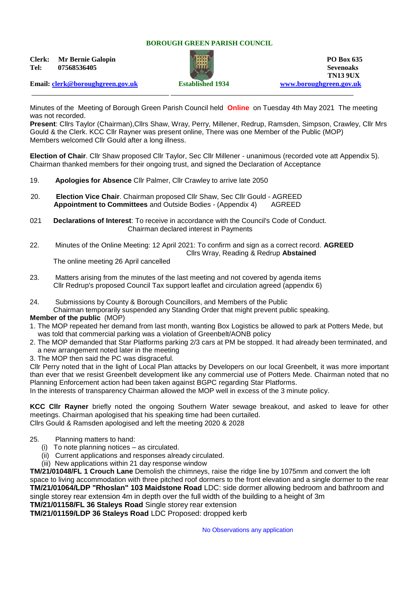### **BOROUGH GREEN PARISH COUNCIL**

**Clerk: Mr Bernie Galopin PO Box 635 Tel: 07568536405 Sevenoaks**



**TN13 9UX**

**Email: [clerk@boroughgreen.gov.uk](mailto:clerk@boroughgreen.gov.uk) Established 1934 [www.boroughgreen.gov.uk](http://www.boroughgreen.gov.uk/)**

Minutes of the Meeting of Borough Green Parish Council held **Online** on Tuesday 4th May 2021 The meeting was not recorded.

**Present**: Cllrs Taylor (Chairman),Cllrs Shaw, Wray, Perry, Millener, Redrup, Ramsden, Simpson, Crawley, Cllr Mrs Gould & the Clerk. KCC Cllr Rayner was present online, There was one Member of the Public (MOP) Members welcomed Cllr Gould after a long illness.

**Election of Chair**. Cllr Shaw proposed Cllr Taylor, Sec Cllr Millener - unanimous (recorded vote att Appendix 5). Chairman thanked members for their ongoing trust, and signed the Declaration of Acceptance

- 19. **Apologies for Absence** Cllr Palmer, Cllr Crawley to arrive late 2050
- 20. **Election Vice Chair**. Chairman proposed Cllr Shaw, Sec Cllr Gould AGREED **Appointment to Committees** and Outside Bodies - (Appendix 4) AGREED
- 021 **Declarations of Interest**: To receive in accordance with the Council's Code of Conduct. Chairman declared interest in Payments
- 22. Minutes of the Online Meeting: 12 April 2021: To confirm and sign as a correct record. **AGREED** Cllrs Wray, Reading & Redrup **Abstained**

The online meeting 26 April cancelled

- 23. Matters arising from the minutes of the last meeting and not covered by agenda items Cllr Redrup's proposed Council Tax support leaflet and circulation agreed (appendix 6)
- 24. Submissions by County & Borough Councillors, and Members of the Public

Chairman temporarily suspended any Standing Order that might prevent public speaking.

# **Member of the public** (MOP)

- 1. The MOP repeated her demand from last month, wanting Box Logistics be allowed to park at Potters Mede, but was told that commercial parking was a violation of Greenbelt/AONB policy
- 2. The MOP demanded that Star Platforms parking 2/3 cars at PM be stopped. It had already been terminated, and a new arrangement noted later in the meeting
- 3. The MOP then said the PC was disgraceful.

Cllr Perry noted that in the light of Local Plan attacks by Developers on our local Greenbelt, it was more important than ever that we resist Greenbelt development like any commercial use of Potters Mede. Chairman noted that no Planning Enforcement action had been taken against BGPC regarding Star Platforms.

In the interests of transparency Chairman allowed the MOP well in excess of the 3 minute policy.

**KCC Cllr Rayner** briefly noted the ongoing Southern Water sewage breakout, and asked to leave for other meetings. Chairman apologised that his speaking time had been curtailed. Cllrs Gould & Ramsden apologised and left the meeting 2020 & 2028

- 25. Planning matters to hand:
	- (i) To note planning notices as circulated.
	- (ii) Current applications and responses already circulated.
	- (iii) New applications within 21 day response window

**TM/21/01048/FL 1 Crouch Lane** Demolish the chimneys, raise the ridge line by 1075mm and convert the loft space to living accommodation with three pitched roof dormers to the front elevation and a single dormer to the rear **TM/21/01064/LDP "Rhoslan" 103 Maidstone Road** LDC: side dormer allowing bedroom and bathroom and single storey rear extension 4m in depth over the full width of the building to a height of 3m

**TM/21/01158/FL 36 Staleys Road** Single storey rear extension

**TM/21/01159/LDP 36 Staleys Road** LDC Proposed: dropped kerb

No Observations any application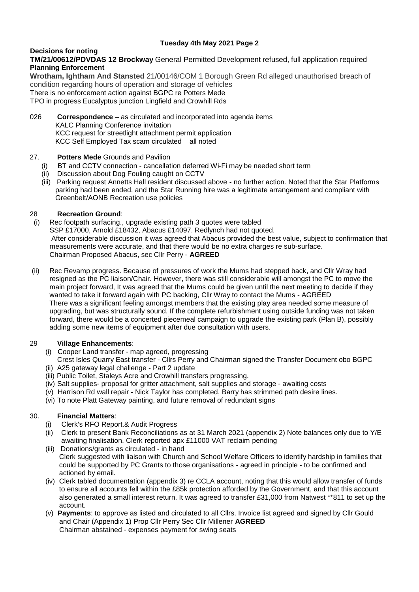# **Decisions for noting**

# **TM/21/00612/PDVDAS 12 Brockway** General Permitted Development refused, full application required **Planning Enforcement**

**Wrotham, Ightham And Stansted** 21/00146/COM 1 Borough Green Rd alleged unauthorised breach of condition regarding hours of operation and storage of vehicles There is no enforcement action against BGPC re Potters Mede

TPO in progress Eucalyptus junction Lingfield and Crowhill Rds

# 026 **Correspondence** – as circulated and incorporated into agenda items KALC Planning Conference invitation KCC request for streetlight attachment permit application KCC Self Employed Tax scam circulated all noted

# 27. **Potters Mede** Grounds and Pavilion

- BT and CCTV connection cancellation deferred Wi-Fi may be needed short term
- (ii) Discussion about Dog Fouling caught on CCTV
- (iii) Parking request Annetts Hall resident discussed above no further action. Noted that the Star Platforms parking had been ended, and the Star Running hire was a legitimate arrangement and compliant with Greenbelt/AONB Recreation use policies

# 28 **Recreation Ground**:

- (i) Rec footpath surfacing., upgrade existing path 3 quotes were tabled SSP £17000, Arnold £18432, Abacus £14097. Redlynch had not quoted. After considerable discussion it was agreed that Abacus provided the best value, subject to confirmation that measurements were accurate, and that there would be no extra charges re sub-surface. Chairman Proposed Abacus, sec Cllr Perry - **AGREED**
- (ii) Rec Revamp progress. Because of pressures of work the Mums had stepped back, and Cllr Wray had resigned as the PC liaison/Chair. However, there was still considerable will amongst the PC to move the main project forward, It was agreed that the Mums could be given until the next meeting to decide if they wanted to take it forward again with PC backing, Cllr Wray to contact the Mums - AGREED There was a significant feeling amongst members that the existing play area needed some measure of upgrading, but was structurally sound. If the complete refurbishment using outside funding was not taken forward, there would be a concerted piecemeal campaign to upgrade the existing park (Plan B), possibly adding some new items of equipment after due consultation with users.

# 29 **Village Enhancements**:

- (i) Cooper Land transfer map agreed, progressing
- Crest Isles Quarry East transfer Cllrs Perry and Chairman signed the Transfer Document obo BGPC (ii) A25 gateway legal challenge - Part 2 update
- (iii) Public Toilet, Staleys Acre and Crowhill transfers progressing.
- (iv) Salt supplies- proposal for gritter attachment, salt supplies and storage awaiting costs
- (v) Harrison Rd wall repair Nick Taylor has completed, Barry has strimmed path desire lines.
- (vi) To note Platt Gateway painting, and future removal of redundant signs

# 30. **Financial Matters**:

- (i) Clerk's RFO Report.& Audit Progress
- (ii) Clerk to present Bank Reconciliations as at 31 March 2021 (appendix 2) Note balances only due to Y/E awaiting finalisation. Clerk reported apx £11000 VAT reclaim pending
- (iii) Donations/grants as circulated in hand Clerk suggested with liaison with Church and School Welfare Officers to identify hardship in families that could be supported by PC Grants to those organisations - agreed in principle - to be confirmed and actioned by email.
- (iv) Clerk tabled documentation (appendix 3) re CCLA account, noting that this would allow transfer of funds to ensure all accounts fell within the £85k protection afforded by the Government, and that this account also generated a small interest return. It was agreed to transfer £31,000 from Natwest \*\*811 to set up the account.
- (v) **Payments**: to approve as listed and circulated to all Cllrs. Invoice list agreed and signed by Cllr Gould and Chair (Appendix 1) Prop Cllr Perry Sec Cllr Millener **AGREED** Chairman abstained - expenses payment for swing seats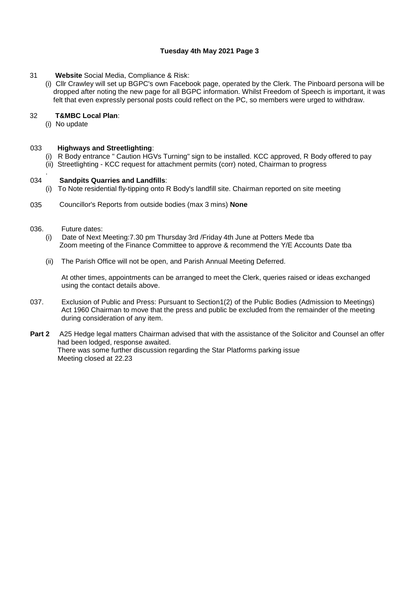- 31 **Website** Social Media, Compliance & Risk:
	- (i) Cllr Crawley will set up BGPC's own Facebook page, operated by the Clerk. The Pinboard persona will be dropped after noting the new page for all BGPC information. Whilst Freedom of Speech is important, it was felt that even expressly personal posts could reflect on the PC, so members were urged to withdraw.

# 32 **T&MBC Local Plan**:

(i) No update

#### 033 **Highways and Streetlighting**:

- (i) R Body entrance " Caution HGVs Turning" sign to be installed. KCC approved, R Body offered to pay
- (ii) Streetlighting KCC request for attachment permits (corr) noted, Chairman to progress

#### . 034 **Sandpits Quarries and Landfills**:

- (i) To Note residential fly-tipping onto R Body's landfill site. Chairman reported on site meeting
- 035 Councillor's Reports from outside bodies (max 3 mins) **None**
- 036. Future dates:
	- (i) Date of Next Meeting:7.30 pm Thursday 3rd /Friday 4th June at Potters Mede tba Zoom meeting of the Finance Committee to approve & recommend the Y/E Accounts Date tba
	- (ii) The Parish Office will not be open, and Parish Annual Meeting Deferred.

At other times, appointments can be arranged to meet the Clerk, queries raised or ideas exchanged using the contact details above.

- 037. Exclusion of Public and Press: Pursuant to Section1(2) of the Public Bodies (Admission to Meetings) Act 1960 Chairman to move that the press and public be excluded from the remainder of the meeting during consideration of any item.
- **Part 2** A25 Hedge legal matters Chairman advised that with the assistance of the Solicitor and Counsel an offer had been lodged, response awaited. There was some further discussion regarding the Star Platforms parking issue Meeting closed at 22.23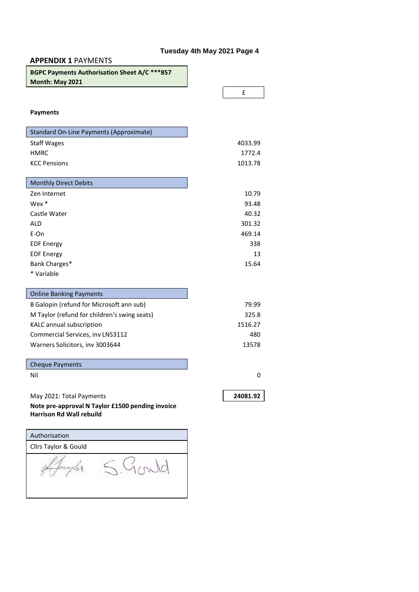| <b>APPENDIX 1 PAYMENTS</b>                                                          |  |  |          |     |
|-------------------------------------------------------------------------------------|--|--|----------|-----|
| BGPC Payments Authorisation Sheet A/C ***857<br>Month: May 2021                     |  |  |          |     |
|                                                                                     |  |  | £        |     |
| <b>Payments</b>                                                                     |  |  |          |     |
| <b>Standard On-Line Payments (Approximate)</b>                                      |  |  |          |     |
| <b>Staff Wages</b>                                                                  |  |  | 4033.99  |     |
| <b>HMRC</b>                                                                         |  |  | 1772.4   |     |
| <b>KCC Pensions</b>                                                                 |  |  | 1013.78  |     |
| <b>Monthly Direct Debits</b>                                                        |  |  |          |     |
| Zen Internet                                                                        |  |  | 10.79    |     |
| Wex *                                                                               |  |  | 93.48    |     |
| Castle Water                                                                        |  |  | 40.32    |     |
| ALD                                                                                 |  |  | 301.32   |     |
| E-On                                                                                |  |  | 469.14   |     |
| <b>EDF Energy</b>                                                                   |  |  |          | 338 |
| <b>EDF Energy</b>                                                                   |  |  |          | 13  |
| Bank Charges*                                                                       |  |  | 15.64    |     |
| * Variable                                                                          |  |  |          |     |
| <b>Online Banking Payments</b>                                                      |  |  |          |     |
| B Galopin (refund for Microsoft ann sub)                                            |  |  | 79.99    |     |
| M Taylor (refund for children's swing seats)                                        |  |  | 325.8    |     |
| KALC annual subscription                                                            |  |  | 1516.27  |     |
| Commercial Services, inv LNS3112                                                    |  |  |          | 480 |
| Warners Solicitors, inv 3003644                                                     |  |  | 13578    |     |
| <b>Cheque Payments</b>                                                              |  |  |          |     |
| Nil                                                                                 |  |  |          | 0   |
|                                                                                     |  |  |          |     |
| May 2021: Total Payments                                                            |  |  | 24081.92 |     |
| Note pre-approval N Taylor £1500 pending invoice<br><b>Harrison Rd Wall rebuild</b> |  |  |          |     |
| Authorisation                                                                       |  |  |          |     |
| Cllrs Taylor & Gould                                                                |  |  |          |     |
|                                                                                     |  |  |          |     |

Againster S. Gould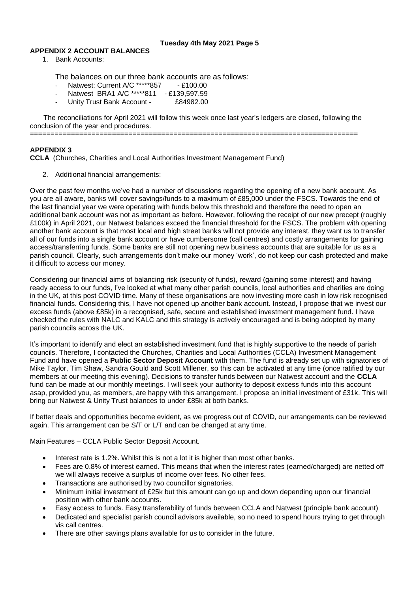# **APPENDIX 2 ACCOUNT BALANCES**

1. Bank Accounts:

The balances on our three bank accounts are as follows:

- Natwest: Current A/C \*\*\*\*\*857 £100.00
- Natwest BRA1 A/C \*\*\*\*\*811 £139,597.59<br>Unity Trust Bank Account £84982.00
- Unity Trust Bank Account -

The reconciliations for April 2021 will follow this week once last year's ledgers are closed, following the conclusion of the year end procedures.

================================================================================

## **APPENDIX 3**

**CCLA** (Churches, Charities and Local Authorities Investment Management Fund)

2. Additional financial arrangements:

Over the past few months we've had a number of discussions regarding the opening of a new bank account. As you are all aware, banks will cover savings/funds to a maximum of £85,000 under the FSCS. Towards the end of the last financial year we were operating with funds below this threshold and therefore the need to open an additional bank account was not as important as before. However, following the receipt of our new precept (roughly £100k) in April 2021, our Natwest balances exceed the financial threshold for the FSCS. The problem with opening another bank account is that most local and high street banks will not provide any interest, they want us to transfer all of our funds into a single bank account or have cumbersome (call centres) and costly arrangements for gaining access/transferring funds. Some banks are still not opening new business accounts that are suitable for us as a parish council. Clearly, such arrangements don't make our money 'work', do not keep our cash protected and make it difficult to access our money.

Considering our financial aims of balancing risk (security of funds), reward (gaining some interest) and having ready access to our funds, I've looked at what many other parish councils, local authorities and charities are doing in the UK, at this post COVID time. Many of these organisations are now investing more cash in low risk recognised financial funds. Considering this, I have not opened up another bank account. Instead, I propose that we invest our excess funds (above £85k) in a recognised, safe, secure and established investment management fund. I have checked the rules with NALC and KALC and this strategy is actively encouraged and is being adopted by many parish councils across the UK.

It's important to identify and elect an established investment fund that is highly supportive to the needs of parish councils. Therefore, I contacted the Churches, Charities and Local Authorities (CCLA) Investment Management Fund and have opened a **Public Sector Deposit Account** with them. The fund is already set up with signatories of Mike Taylor, Tim Shaw, Sandra Gould and Scott Millener, so this can be activated at any time (once ratified by our members at our meeting this evening). Decisions to transfer funds between our Natwest account and the **CCLA** fund can be made at our monthly meetings. I will seek your authority to deposit excess funds into this account asap, provided you, as members, are happy with this arrangement. I propose an initial investment of £31k. This will bring our Natwest & Unity Trust balances to under £85k at both banks.

If better deals and opportunities become evident, as we progress out of COVID, our arrangements can be reviewed again. This arrangement can be S/T or L/T and can be changed at any time.

Main Features – CCLA Public Sector Deposit Account.

- Interest rate is 1.2%. Whilst this is not a lot it is higher than most other banks.
- Fees are 0.8% of interest earned. This means that when the interest rates (earned/charged) are netted off we will always receive a surplus of income over fees. No other fees.
- Transactions are authorised by two councillor signatories.
- Minimum initial investment of £25k but this amount can go up and down depending upon our financial position with other bank accounts.
- Easy access to funds. Easy transferability of funds between CCLA and Natwest (principle bank account)
- Dedicated and specialist parish council advisors available, so no need to spend hours trying to get through vis call centres.
- There are other savings plans available for us to consider in the future.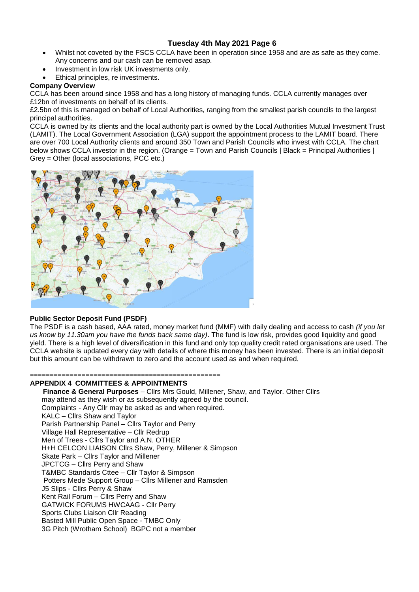- Whilst not coveted by the FSCS CCLA have been in operation since 1958 and are as safe as they come. Any concerns and our cash can be removed asap.
- Investment in low risk UK investments only.
- Ethical principles, re investments.

# **Company Overview**

CCLA has been around since 1958 and has a long history of managing funds. CCLA currently manages over £12bn of investments on behalf of its clients.

£2.5bn of this is managed on behalf of Local Authorities, ranging from the smallest parish councils to the largest principal authorities.

CCLA is owned by its clients and the local authority part is owned by the Local Authorities Mutual Investment Trust (LAMIT). The Local Government Association (LGA) support the appointment process to the LAMIT board. There are over 700 Local Authority clients and around 350 Town and Parish Councils who invest with CCLA. The chart below shows CCLA investor in the region. (Orange = Town and Parish Councils | Black = Principal Authorities | Grey = Other (local associations, PCC etc.)



# **Public Sector Deposit Fund (PSDF)**

The PSDF is a cash based, AAA rated, money market fund (MMF) with daily dealing and access to cash *(if you let us know by 11.30am you have the funds back same day)*. The fund is low risk, provides good liquidity and good yield. There is a high level of diversification in this fund and only top quality credit rated organisations are used. The CCLA website is updated every day with details of where this money has been invested. There is an initial deposit but this amount can be withdrawn to zero and the account used as and when required.

### ================================================ **APPENDIX 4 COMMITTEES & APPOINTMENTS**

**Finance & General Purposes** – Cllrs Mrs Gould, Millener, Shaw, and Taylor. Other Cllrs may attend as they wish or as subsequently agreed by the council. Complaints - Any Cllr may be asked as and when required. KALC – Cllrs Shaw and Taylor Parish Partnership Panel – Cllrs Taylor and Perry Village Hall Representative – Cllr Redrup Men of Trees - Cllrs Taylor and A.N. OTHER H+H CELCON LIAISON Cllrs Shaw, Perry, Millener & Simpson Skate Park – Cllrs Taylor and Millener JPCTCG – Cllrs Perry and Shaw T&MBC Standards Cttee – Cllr Taylor & Simpson Potters Mede Support Group – Cllrs Millener and Ramsden J5 Slips - Cllrs Perry & Shaw Kent Rail Forum – Cllrs Perry and Shaw GATWICK FORUMS HWCAAG - Cllr Perry Sports Clubs Liaison Cllr Reading Basted Mill Public Open Space - TMBC Only 3G Pitch (Wrotham School) BGPC not a member